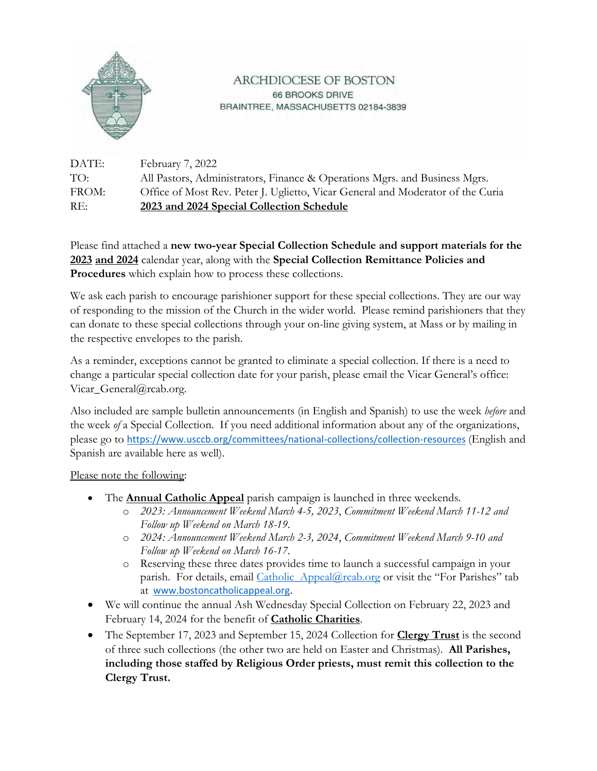

## ARCHDIOCESE OF BOSTON 66 BROOKS DRIVE BRAINTREE, MASSACHUSETTS 02184-3839

DATE: February 7, 2022 TO: All Pastors, Administrators, Finance & Operations Mgrs. and Business Mgrs. FROM: Office of Most Rev. Peter J. Uglietto, Vicar General and Moderator of the Curia RE: **2023 and 2024 Special Collection Schedule**

Please find attached a **new two-year Special Collection Schedule and support materials for the 2023 and 2024** calendar year, along with the **Special Collection Remittance Policies and Procedures** which explain how to process these collections.

We ask each parish to encourage parishioner support for these special collections. They are our way of responding to the mission of the Church in the wider world. Please remind parishioners that they can donate to these special collections through your on-line giving system, at Mass or by mailing in the respective envelopes to the parish.

As a reminder, exceptions cannot be granted to eliminate a special collection. If there is a need to change a particular special collection date for your parish, please email the Vicar General's office: Vicar\_General@rcab.org.

Also included are sample bulletin announcements (in English and Spanish) to use the week *before* and the week *of* a Special Collection. If you need additional information about any of the organizations, please go to https://www.usccb.org/committees/national‐collections/collection‐resources (English and Spanish are available here as well).

Please note the following:

- The **Annual Catholic Appeal** parish campaign is launched in three weekends*.* 
	- o *2023: Announcement Weekend March 4-5, 2023*, *Commitment Weekend March 11-12 and Follow up Weekend on March 18-19*.
	- o *2024: Announcement Weekend March 2-3, 2024*, *Commitment Weekend March 9-10 and Follow up Weekend on March 16-17*.
	- o Reserving these three dates provides time to launch a successful campaign in your parish. For details, email *Catholic* Appeal@rcab.org or visit the "For Parishes" tab at www.bostoncatholicappeal.org.
- We will continue the annual Ash Wednesday Special Collection on February 22, 2023 and February 14, 2024 for the benefit of **Catholic Charities**.
- The September 17, 2023 and September 15, 2024 Collection for **Clergy Trust** is the second of three such collections (the other two are held on Easter and Christmas). **All Parishes, including those staffed by Religious Order priests, must remit this collection to the Clergy Trust.**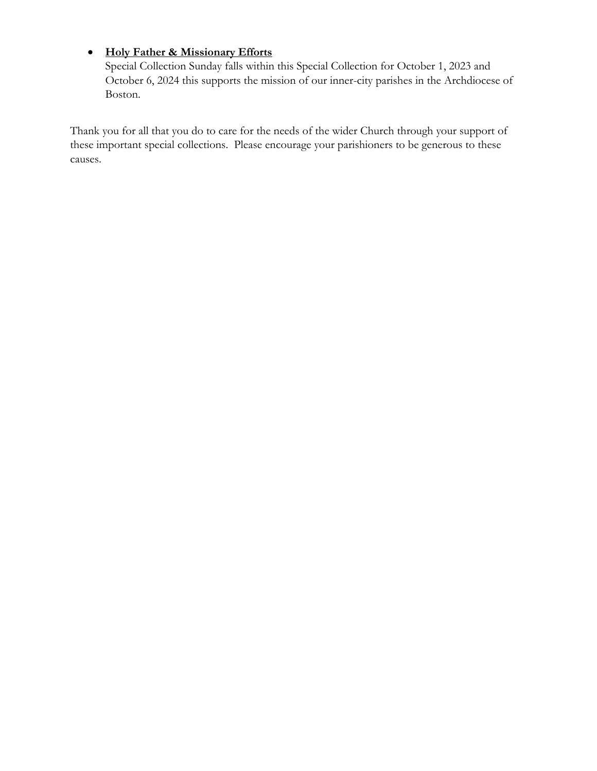# **Holy Father & Missionary Efforts**

Special Collection Sunday falls within this Special Collection for October 1, 2023 and October 6, 2024 this supports the mission of our inner-city parishes in the Archdiocese of Boston.

Thank you for all that you do to care for the needs of the wider Church through your support of these important special collections. Please encourage your parishioners to be generous to these causes.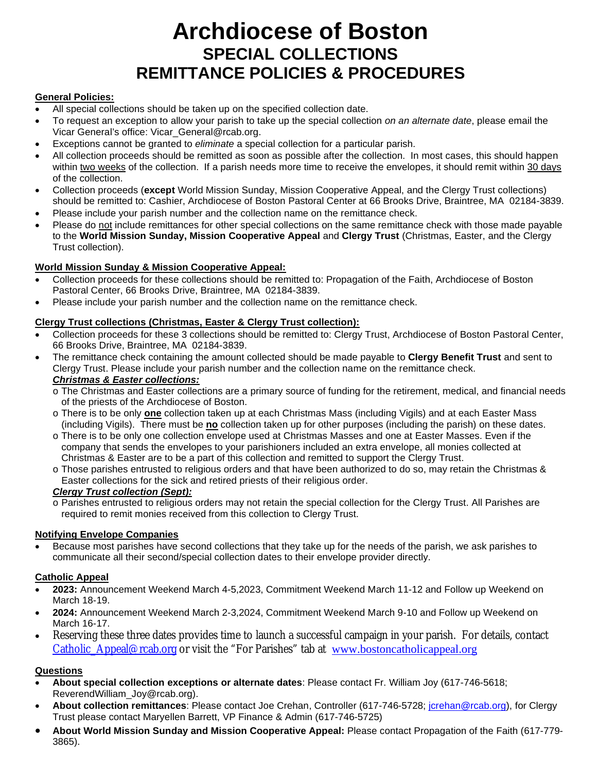# **Archdiocese of Boston SPECIAL COLLECTIONS REMITTANCE POLICIES & PROCEDURES**

#### **General Policies:**

- All special collections should be taken up on the specified collection date.
- To request an exception to allow your parish to take up the special collection *on an alternate date*, please email the Vicar General's office: Vicar\_General@rcab.org.
- Exceptions cannot be granted to *eliminate* a special collection for a particular parish.
- All collection proceeds should be remitted as soon as possible after the collection. In most cases, this should happen within two weeks of the collection. If a parish needs more time to receive the envelopes, it should remit within 30 days of the collection.
- Collection proceeds (**except** World Mission Sunday, Mission Cooperative Appeal, and the Clergy Trust collections) should be remitted to: Cashier, Archdiocese of Boston Pastoral Center at 66 Brooks Drive, Braintree, MA 02184-3839.
- Please include your parish number and the collection name on the remittance check.
- Please do not include remittances for other special collections on the same remittance check with those made payable to the **World Mission Sunday, Mission Cooperative Appeal** and **Clergy Trust** (Christmas, Easter, and the Clergy Trust collection).

#### **World Mission Sunday & Mission Cooperative Appeal:**

- Collection proceeds for these collections should be remitted to: Propagation of the Faith, Archdiocese of Boston Pastoral Center, 66 Brooks Drive, Braintree, MA 02184-3839.
- Please include your parish number and the collection name on the remittance check.

#### **Clergy Trust collections (Christmas, Easter & Clergy Trust collection):**

- Collection proceeds for these 3 collections should be remitted to: Clergy Trust, Archdiocese of Boston Pastoral Center, 66 Brooks Drive, Braintree, MA 02184-3839.
- The remittance check containing the amount collected should be made payable to **Clergy Benefit Trust** and sent to Clergy Trust. Please include your parish number and the collection name on the remittance check. *Christmas & Easter collections:*
	- o The Christmas and Easter collections are a primary source of funding for the retirement, medical, and financial needs of the priests of the Archdiocese of Boston.
	- o There is to be only **one** collection taken up at each Christmas Mass (including Vigils) and at each Easter Mass (including Vigils). There must be **no** collection taken up for other purposes (including the parish) on these dates.
	- o There is to be only one collection envelope used at Christmas Masses and one at Easter Masses. Even if the company that sends the envelopes to your parishioners included an extra envelope, all monies collected at Christmas & Easter are to be a part of this collection and remitted to support the Clergy Trust.
	- o Those parishes entrusted to religious orders and that have been authorized to do so, may retain the Christmas & Easter collections for the sick and retired priests of their religious order.

#### *Clergy Trust collection (Sept):*

o Parishes entrusted to religious orders may not retain the special collection for the Clergy Trust. All Parishes are required to remit monies received from this collection to Clergy Trust.

#### **Notifying Envelope Companies**

 Because most parishes have second collections that they take up for the needs of the parish, we ask parishes to communicate all their second/special collection dates to their envelope provider directly.

#### **Catholic Appeal**

- **2023:** Announcement Weekend March 4-5,2023, Commitment Weekend March 11-12 and Follow up Weekend on March 18-19.
- **2024:** Announcement Weekend March 2-3,2024, Commitment Weekend March 9-10 and Follow up Weekend on March 16-17.
- Reserving these three dates provides time to launch a successful campaign in your parish. For details, contact [Catholic\\_Appeal@rcab.org](mailto:Catholic_Appeal@rcab.org) or visit the "For Parishes" tab at [www.bostoncatholicappeal.org](http://www.bostoncatholicappeal.org/)

#### **Questions**

- **About special collection exceptions or alternate dates**: Please contact Fr. William Joy (617-746-5618; ReverendWilliam\_Joy@rcab.org).
- **About collection remittances**: Please contact Joe Crehan, Controller (617-746-5728; [jcrehan@rcab.org\)](mailto:jcrehan@rcab.org), for Clergy Trust please contact Maryellen Barrett, VP Finance & Admin (617-746-5725)
- **About World Mission Sunday and Mission Cooperative Appeal:** Please contact Propagation of the Faith (617-779- 3865).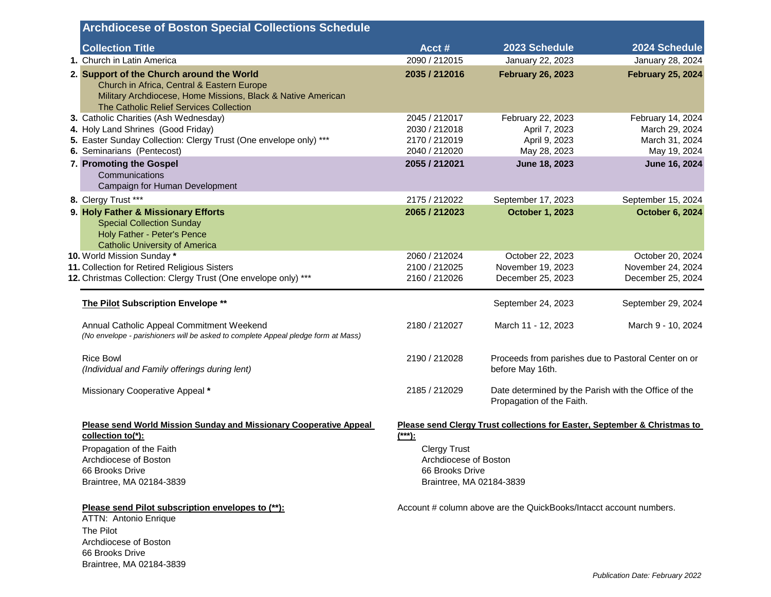|                                                                                                                                                                 | <b>Archdiocese of Boston Special Collections Schedule</b>                                                                                                                                          |                                                                    |                                                                                   |                                          |
|-----------------------------------------------------------------------------------------------------------------------------------------------------------------|----------------------------------------------------------------------------------------------------------------------------------------------------------------------------------------------------|--------------------------------------------------------------------|-----------------------------------------------------------------------------------|------------------------------------------|
|                                                                                                                                                                 | <b>Collection Title</b>                                                                                                                                                                            | Acct#                                                              | 2023 Schedule                                                                     | 2024 Schedule                            |
|                                                                                                                                                                 | 1. Church in Latin America                                                                                                                                                                         | 2090 / 212015                                                      | January 22, 2023                                                                  | January 28, 2024                         |
|                                                                                                                                                                 | 2. Support of the Church around the World<br>Church in Africa, Central & Eastern Europe<br>Military Archdiocese, Home Missions, Black & Native American<br>The Catholic Relief Services Collection | 2035 / 212016                                                      | <b>February 26, 2023</b>                                                          | <b>February 25, 2024</b>                 |
|                                                                                                                                                                 | 3. Catholic Charities (Ash Wednesday)                                                                                                                                                              | 2045 / 212017                                                      | February 22, 2023                                                                 | February 14, 2024                        |
|                                                                                                                                                                 | 4. Holy Land Shrines (Good Friday)                                                                                                                                                                 | 2030 / 212018                                                      | April 7, 2023                                                                     | March 29, 2024                           |
|                                                                                                                                                                 | 5. Easter Sunday Collection: Clergy Trust (One envelope only) ***                                                                                                                                  | 2170 / 212019                                                      | April 9, 2023                                                                     | March 31, 2024                           |
|                                                                                                                                                                 | 6. Seminarians (Pentecost)                                                                                                                                                                         | 2040 / 212020                                                      | May 28, 2023                                                                      | May 19, 2024                             |
|                                                                                                                                                                 | 7. Promoting the Gospel<br>Communications<br>Campaign for Human Development                                                                                                                        | 2055 / 212021                                                      | June 18, 2023                                                                     | June 16, 2024                            |
|                                                                                                                                                                 | 8. Clergy Trust ***                                                                                                                                                                                | 2175 / 212022                                                      | September 17, 2023                                                                | September 15, 2024                       |
|                                                                                                                                                                 | 9. Holy Father & Missionary Efforts                                                                                                                                                                | 2065 / 212023                                                      | <b>October 1, 2023</b>                                                            | <b>October 6, 2024</b>                   |
|                                                                                                                                                                 | <b>Special Collection Sunday</b><br>Holy Father - Peter's Pence<br><b>Catholic University of America</b>                                                                                           |                                                                    |                                                                                   |                                          |
|                                                                                                                                                                 | 10. World Mission Sunday *                                                                                                                                                                         | 2060 / 212024                                                      | October 22, 2023                                                                  | October 20, 2024                         |
|                                                                                                                                                                 | 11. Collection for Retired Religious Sisters                                                                                                                                                       | 2100 / 212025                                                      | November 19, 2023                                                                 | November 24, 2024                        |
|                                                                                                                                                                 | 12. Christmas Collection: Clergy Trust (One envelope only) ***                                                                                                                                     | 2160 / 212026                                                      | December 25, 2023                                                                 | December 25, 2024                        |
|                                                                                                                                                                 | The Pilot Subscription Envelope **<br>Annual Catholic Appeal Commitment Weekend                                                                                                                    | 2180 / 212027                                                      | September 24, 2023<br>March 11 - 12, 2023                                         | September 29, 2024<br>March 9 - 10, 2024 |
|                                                                                                                                                                 | (No envelope - parishioners will be asked to complete Appeal pledge form at Mass)                                                                                                                  |                                                                    |                                                                                   |                                          |
|                                                                                                                                                                 | <b>Rice Bowl</b><br>(Individual and Family offerings during lent)                                                                                                                                  | 2190 / 212028                                                      | Proceeds from parishes due to Pastoral Center on or<br>before May 16th.           |                                          |
|                                                                                                                                                                 | Missionary Cooperative Appeal *                                                                                                                                                                    | 2185 / 212029                                                      | Date determined by the Parish with the Office of the<br>Propagation of the Faith. |                                          |
|                                                                                                                                                                 | Please send World Mission Sunday and Missionary Cooperative Appeal<br>collection to(*):                                                                                                            | $(***):$                                                           | Please send Clergy Trust collections for Easter, September & Christmas to         |                                          |
|                                                                                                                                                                 |                                                                                                                                                                                                    |                                                                    |                                                                                   |                                          |
|                                                                                                                                                                 | Propagation of the Faith                                                                                                                                                                           | <b>Clergy Trust</b>                                                |                                                                                   |                                          |
|                                                                                                                                                                 | Archdiocese of Boston                                                                                                                                                                              | Archdiocese of Boston                                              |                                                                                   |                                          |
|                                                                                                                                                                 | 66 Brooks Drive                                                                                                                                                                                    | 66 Brooks Drive                                                    |                                                                                   |                                          |
|                                                                                                                                                                 | Braintree, MA 02184-3839                                                                                                                                                                           | Braintree, MA 02184-3839                                           |                                                                                   |                                          |
| Please send Pilot subscription envelopes to (**):<br>ATTN: Antonio Enrique<br>The Pilot<br>Archdiocese of Boston<br>66 Brooks Drive<br>Braintree, MA 02184-3839 |                                                                                                                                                                                                    | Account # column above are the QuickBooks/Intacct account numbers. |                                                                                   |                                          |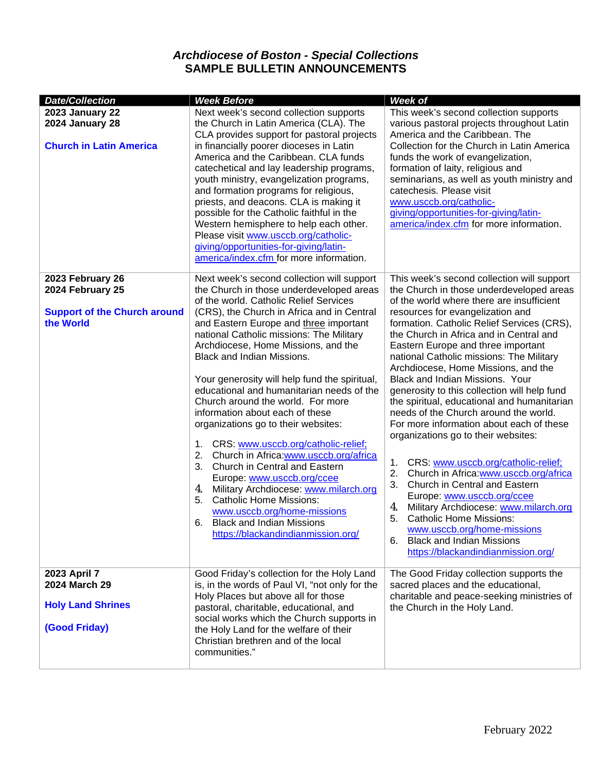# *Archdiocese of Boston - Special Collections* **SAMPLE BULLETIN ANNOUNCEMENTS**

| <b>Date/Collection</b>                                                                   | <b>Week Before</b>                                                                                                                                                                                                                                                                                                                                                                                                                                                                                                                                                                                                                                                                                                                                                                                                                                                                                                                | <b>Week of</b>                                                                                                                                                                                                                                                                                                                                                                                                                                                                                                                                                                                                                                                                                                                                                                                                                                                                                                                                                                                                                 |
|------------------------------------------------------------------------------------------|-----------------------------------------------------------------------------------------------------------------------------------------------------------------------------------------------------------------------------------------------------------------------------------------------------------------------------------------------------------------------------------------------------------------------------------------------------------------------------------------------------------------------------------------------------------------------------------------------------------------------------------------------------------------------------------------------------------------------------------------------------------------------------------------------------------------------------------------------------------------------------------------------------------------------------------|--------------------------------------------------------------------------------------------------------------------------------------------------------------------------------------------------------------------------------------------------------------------------------------------------------------------------------------------------------------------------------------------------------------------------------------------------------------------------------------------------------------------------------------------------------------------------------------------------------------------------------------------------------------------------------------------------------------------------------------------------------------------------------------------------------------------------------------------------------------------------------------------------------------------------------------------------------------------------------------------------------------------------------|
| <b>2023 January 22</b><br>2024 January 28<br><b>Church in Latin America</b>              | Next week's second collection supports<br>the Church in Latin America (CLA). The<br>CLA provides support for pastoral projects<br>in financially poorer dioceses in Latin<br>America and the Caribbean. CLA funds<br>catechetical and lay leadership programs,<br>youth ministry, evangelization programs,<br>and formation programs for religious,<br>priests, and deacons. CLA is making it<br>possible for the Catholic faithful in the<br>Western hemisphere to help each other.<br>Please visit www.usccb.org/catholic-<br>giving/opportunities-for-giving/latin-<br>america/index.cfm for more information.                                                                                                                                                                                                                                                                                                                 | This week's second collection supports<br>various pastoral projects throughout Latin<br>America and the Caribbean. The<br>Collection for the Church in Latin America<br>funds the work of evangelization,<br>formation of laity, religious and<br>seminarians, as well as youth ministry and<br>catechesis. Please visit<br>www.usccb.org/catholic-<br>giving/opportunities-for-giving/latin-<br>america/index.cfm for more information.                                                                                                                                                                                                                                                                                                                                                                                                                                                                                                                                                                                       |
| 2023 February 26<br>2024 February 25<br><b>Support of the Church around</b><br>the World | Next week's second collection will support<br>the Church in those underdeveloped areas<br>of the world. Catholic Relief Services<br>(CRS), the Church in Africa and in Central<br>and Eastern Europe and three important<br>national Catholic missions: The Military<br>Archdiocese, Home Missions, and the<br><b>Black and Indian Missions.</b><br>Your generosity will help fund the spiritual,<br>educational and humanitarian needs of the<br>Church around the world. For more<br>information about each of these<br>organizations go to their websites:<br>1. CRS: www.usccb.org/catholic-relief;<br>2.<br>Church in Africa:www.usccb.org/africa<br>Church in Central and Eastern<br>3.<br>Europe: www.usccb.org/ccee<br>Military Archdiocese: www.milarch.org<br>4.<br><b>Catholic Home Missions:</b><br>5.<br>www.usccb.org/home-missions<br><b>Black and Indian Missions</b><br>6.<br>https://blackandindianmission.org/ | This week's second collection will support<br>the Church in those underdeveloped areas<br>of the world where there are insufficient<br>resources for evangelization and<br>formation. Catholic Relief Services (CRS),<br>the Church in Africa and in Central and<br>Eastern Europe and three important<br>national Catholic missions: The Military<br>Archdiocese, Home Missions, and the<br>Black and Indian Missions. Your<br>generosity to this collection will help fund<br>the spiritual, educational and humanitarian<br>needs of the Church around the world.<br>For more information about each of these<br>organizations go to their websites:<br>CRS: www.usccb.org/catholic-relief;<br>1.<br>2.<br>Church in Africa:www.usccb.org/africa<br>3.<br>Church in Central and Eastern<br>Europe: www.usccb.org/ccee<br>Military Archdiocese: www.milarch.org<br>4.<br>5.<br><b>Catholic Home Missions:</b><br>www.usccb.org/home-missions<br><b>Black and Indian Missions</b><br>6.<br>https://blackandindianmission.org/ |
| 2023 April 7<br>2024 March 29<br><b>Holy Land Shrines</b><br>(Good Friday)               | Good Friday's collection for the Holy Land<br>is, in the words of Paul VI, "not only for the<br>Holy Places but above all for those<br>pastoral, charitable, educational, and<br>social works which the Church supports in<br>the Holy Land for the welfare of their<br>Christian brethren and of the local<br>communities."                                                                                                                                                                                                                                                                                                                                                                                                                                                                                                                                                                                                      | The Good Friday collection supports the<br>sacred places and the educational,<br>charitable and peace-seeking ministries of<br>the Church in the Holy Land.                                                                                                                                                                                                                                                                                                                                                                                                                                                                                                                                                                                                                                                                                                                                                                                                                                                                    |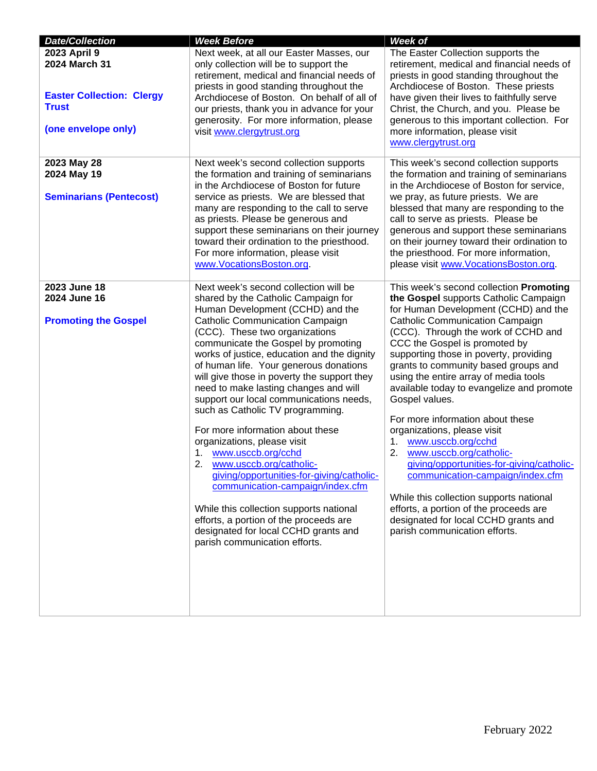| <b>Date/Collection</b>                                                                                   | <b>Week Before</b>                                                                                                                                                                                                                                                                                                                                                                                                                                                                                                                                                                                                                                                                                                                                                                                                                                                                 | Week of                                                                                                                                                                                                                                                                                                                                                                                                                                                                                                                                                                                                                                                                                                                                                                                                             |
|----------------------------------------------------------------------------------------------------------|------------------------------------------------------------------------------------------------------------------------------------------------------------------------------------------------------------------------------------------------------------------------------------------------------------------------------------------------------------------------------------------------------------------------------------------------------------------------------------------------------------------------------------------------------------------------------------------------------------------------------------------------------------------------------------------------------------------------------------------------------------------------------------------------------------------------------------------------------------------------------------|---------------------------------------------------------------------------------------------------------------------------------------------------------------------------------------------------------------------------------------------------------------------------------------------------------------------------------------------------------------------------------------------------------------------------------------------------------------------------------------------------------------------------------------------------------------------------------------------------------------------------------------------------------------------------------------------------------------------------------------------------------------------------------------------------------------------|
| 2023 April 9<br>2024 March 31<br><b>Easter Collection: Clergy</b><br><b>Trust</b><br>(one envelope only) | Next week, at all our Easter Masses, our<br>only collection will be to support the<br>retirement, medical and financial needs of<br>priests in good standing throughout the<br>Archdiocese of Boston. On behalf of all of<br>our priests, thank you in advance for your<br>generosity. For more information, please<br>visit www.clergytrust.org                                                                                                                                                                                                                                                                                                                                                                                                                                                                                                                                   | The Easter Collection supports the<br>retirement, medical and financial needs of<br>priests in good standing throughout the<br>Archdiocese of Boston. These priests<br>have given their lives to faithfully serve<br>Christ, the Church, and you. Please be<br>generous to this important collection. For<br>more information, please visit<br>www.clergytrust.org                                                                                                                                                                                                                                                                                                                                                                                                                                                  |
| 2023 May 28<br>2024 May 19<br><b>Seminarians (Pentecost)</b>                                             | Next week's second collection supports<br>the formation and training of seminarians<br>in the Archdiocese of Boston for future<br>service as priests. We are blessed that<br>many are responding to the call to serve<br>as priests. Please be generous and<br>support these seminarians on their journey<br>toward their ordination to the priesthood.<br>For more information, please visit<br>www.VocationsBoston.org.                                                                                                                                                                                                                                                                                                                                                                                                                                                          | This week's second collection supports<br>the formation and training of seminarians<br>in the Archdiocese of Boston for service,<br>we pray, as future priests. We are<br>blessed that many are responding to the<br>call to serve as priests. Please be<br>generous and support these seminarians<br>on their journey toward their ordination to<br>the priesthood. For more information,<br>please visit www.VocationsBoston.org.                                                                                                                                                                                                                                                                                                                                                                                 |
| 2023 June 18<br>2024 June 16<br><b>Promoting the Gospel</b>                                              | Next week's second collection will be<br>shared by the Catholic Campaign for<br>Human Development (CCHD) and the<br><b>Catholic Communication Campaign</b><br>(CCC). These two organizations<br>communicate the Gospel by promoting<br>works of justice, education and the dignity<br>of human life. Your generous donations<br>will give those in poverty the support they<br>need to make lasting changes and will<br>support our local communications needs,<br>such as Catholic TV programming.<br>For more information about these<br>organizations, please visit<br>www.usccb.org/cchd<br>1.<br>2.<br>www.usccb.org/catholic-<br>giving/opportunities-for-giving/catholic-<br>communication-campaign/index.cfm<br>While this collection supports national<br>efforts, a portion of the proceeds are<br>designated for local CCHD grants and<br>parish communication efforts. | This week's second collection Promoting<br>the Gospel supports Catholic Campaign<br>for Human Development (CCHD) and the<br><b>Catholic Communication Campaign</b><br>(CCC). Through the work of CCHD and<br>CCC the Gospel is promoted by<br>supporting those in poverty, providing<br>grants to community based groups and<br>using the entire array of media tools<br>available today to evangelize and promote<br>Gospel values.<br>For more information about these<br>organizations, please visit<br>www.usccb.org/cchd<br>1.<br>www.usccb.org/catholic-<br>2.<br>giving/opportunities-for-giving/catholic-<br>communication-campaign/index.cfm<br>While this collection supports national<br>efforts, a portion of the proceeds are<br>designated for local CCHD grants and<br>parish communication efforts. |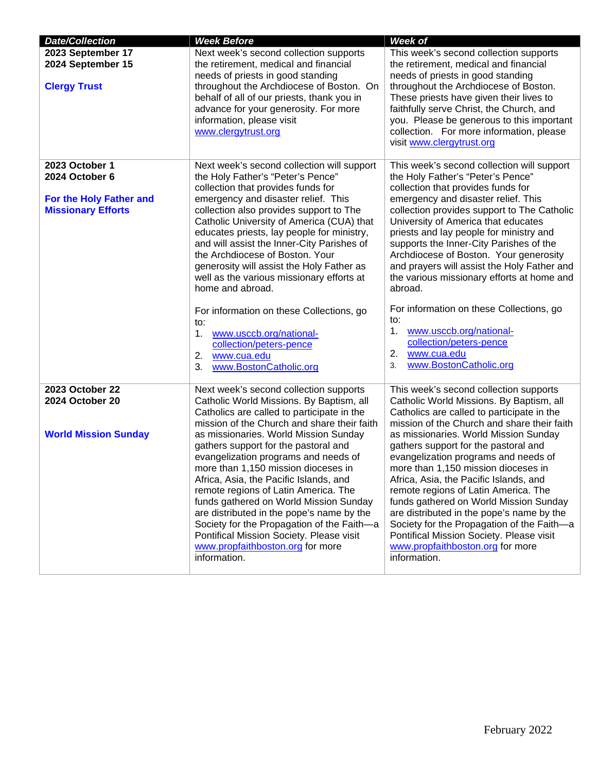| <b>Date/Collection</b>                                                 | <b>Week Before</b>                                                                                                                                                                                                                                                                                                                                                                                                                                                                                                                                                                                                           | <b>Week of</b>                                                                                                                                                                                                                                                                                                                                                                                                                                                                                                                                                                                                               |
|------------------------------------------------------------------------|------------------------------------------------------------------------------------------------------------------------------------------------------------------------------------------------------------------------------------------------------------------------------------------------------------------------------------------------------------------------------------------------------------------------------------------------------------------------------------------------------------------------------------------------------------------------------------------------------------------------------|------------------------------------------------------------------------------------------------------------------------------------------------------------------------------------------------------------------------------------------------------------------------------------------------------------------------------------------------------------------------------------------------------------------------------------------------------------------------------------------------------------------------------------------------------------------------------------------------------------------------------|
| 2023 September 17<br>2024 September 15<br><b>Clergy Trust</b>          | Next week's second collection supports<br>the retirement, medical and financial<br>needs of priests in good standing<br>throughout the Archdiocese of Boston. On<br>behalf of all of our priests, thank you in<br>advance for your generosity. For more<br>information, please visit<br>www.clergytrust.org                                                                                                                                                                                                                                                                                                                  | This week's second collection supports<br>the retirement, medical and financial<br>needs of priests in good standing<br>throughout the Archdiocese of Boston.<br>These priests have given their lives to<br>faithfully serve Christ, the Church, and<br>you. Please be generous to this important<br>collection. For more information, please<br>visit www.clergytrust.org                                                                                                                                                                                                                                                   |
| 2023 October 1                                                         | Next week's second collection will support                                                                                                                                                                                                                                                                                                                                                                                                                                                                                                                                                                                   | This week's second collection will support                                                                                                                                                                                                                                                                                                                                                                                                                                                                                                                                                                                   |
| 2024 October 6<br>For the Holy Father and<br><b>Missionary Efforts</b> | the Holy Father's "Peter's Pence"<br>collection that provides funds for<br>emergency and disaster relief. This<br>collection also provides support to The<br>Catholic University of America (CUA) that<br>educates priests, lay people for ministry,<br>and will assist the Inner-City Parishes of<br>the Archdiocese of Boston. Your<br>generosity will assist the Holy Father as<br>well as the various missionary efforts at<br>home and abroad.<br>For information on these Collections, go<br>to:<br>www.usccb.org/national-<br>1.<br>collection/peters-pence<br>2.<br>www.cua.edu<br>3.<br>www.BostonCatholic.org      | the Holy Father's "Peter's Pence"<br>collection that provides funds for<br>emergency and disaster relief. This<br>collection provides support to The Catholic<br>University of America that educates<br>priests and lay people for ministry and<br>supports the Inner-City Parishes of the<br>Archdiocese of Boston. Your generosity<br>and prayers will assist the Holy Father and<br>the various missionary efforts at home and<br>abroad.<br>For information on these Collections, go<br>to:<br>1.<br>www.usccb.org/national-<br>collection/peters-pence<br>2.<br>www.cua.edu<br>www.BostonCatholic.org<br>3.             |
| 2023 October 22                                                        | Next week's second collection supports                                                                                                                                                                                                                                                                                                                                                                                                                                                                                                                                                                                       | This week's second collection supports                                                                                                                                                                                                                                                                                                                                                                                                                                                                                                                                                                                       |
| 2024 October 20<br><b>World Mission Sunday</b>                         | Catholic World Missions. By Baptism, all<br>Catholics are called to participate in the<br>mission of the Church and share their faith<br>as missionaries. World Mission Sunday<br>gathers support for the pastoral and<br>evangelization programs and needs of<br>more than 1,150 mission dioceses in<br>Africa, Asia, the Pacific Islands, and<br>remote regions of Latin America. The<br>funds gathered on World Mission Sunday<br>are distributed in the pope's name by the<br>Society for the Propagation of the Faith-a<br>Pontifical Mission Society. Please visit<br>www.propfaithboston.org for more<br>information. | Catholic World Missions. By Baptism, all<br>Catholics are called to participate in the<br>mission of the Church and share their faith<br>as missionaries. World Mission Sunday<br>gathers support for the pastoral and<br>evangelization programs and needs of<br>more than 1,150 mission dioceses in<br>Africa, Asia, the Pacific Islands, and<br>remote regions of Latin America. The<br>funds gathered on World Mission Sunday<br>are distributed in the pope's name by the<br>Society for the Propagation of the Faith-a<br>Pontifical Mission Society. Please visit<br>www.propfaithboston.org for more<br>information. |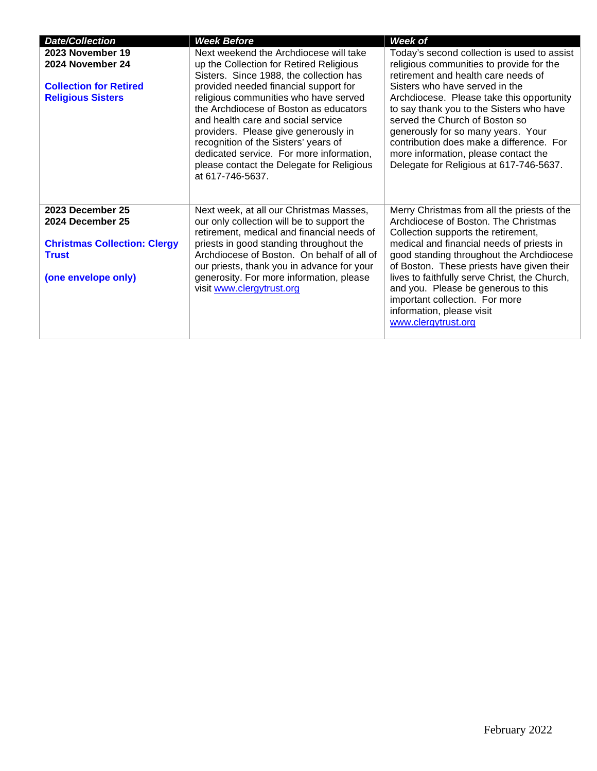| <b>Date/Collection</b>                                                                                             | <b>Week Before</b>                                                                                                                                                                                                                                                                                                                                                                                                                                                                          | Week of                                                                                                                                                                                                                                                                                                                                                                                                                                                          |
|--------------------------------------------------------------------------------------------------------------------|---------------------------------------------------------------------------------------------------------------------------------------------------------------------------------------------------------------------------------------------------------------------------------------------------------------------------------------------------------------------------------------------------------------------------------------------------------------------------------------------|------------------------------------------------------------------------------------------------------------------------------------------------------------------------------------------------------------------------------------------------------------------------------------------------------------------------------------------------------------------------------------------------------------------------------------------------------------------|
| 2023 November 19<br>2024 November 24<br><b>Collection for Retired</b><br><b>Religious Sisters</b>                  | Next weekend the Archdiocese will take<br>up the Collection for Retired Religious<br>Sisters. Since 1988, the collection has<br>provided needed financial support for<br>religious communities who have served<br>the Archdiocese of Boston as educators<br>and health care and social service<br>providers. Please give generously in<br>recognition of the Sisters' years of<br>dedicated service. For more information,<br>please contact the Delegate for Religious<br>at 617-746-5637. | Today's second collection is used to assist<br>religious communities to provide for the<br>retirement and health care needs of<br>Sisters who have served in the<br>Archdiocese. Please take this opportunity<br>to say thank you to the Sisters who have<br>served the Church of Boston so<br>generously for so many years. Your<br>contribution does make a difference. For<br>more information, please contact the<br>Delegate for Religious at 617-746-5637. |
| 2023 December 25<br>2024 December 25<br><b>Christmas Collection: Clergy</b><br><b>Trust</b><br>(one envelope only) | Next week, at all our Christmas Masses,<br>our only collection will be to support the<br>retirement, medical and financial needs of<br>priests in good standing throughout the<br>Archdiocese of Boston. On behalf of all of<br>our priests, thank you in advance for your<br>generosity. For more information, please<br>visit www.clergytrust.org                                                                                                                                         | Merry Christmas from all the priests of the<br>Archdiocese of Boston. The Christmas<br>Collection supports the retirement,<br>medical and financial needs of priests in<br>good standing throughout the Archdiocese<br>of Boston. These priests have given their<br>lives to faithfully serve Christ, the Church,<br>and you. Please be generous to this<br>important collection. For more<br>information, please visit<br>www.clergytrust.org                   |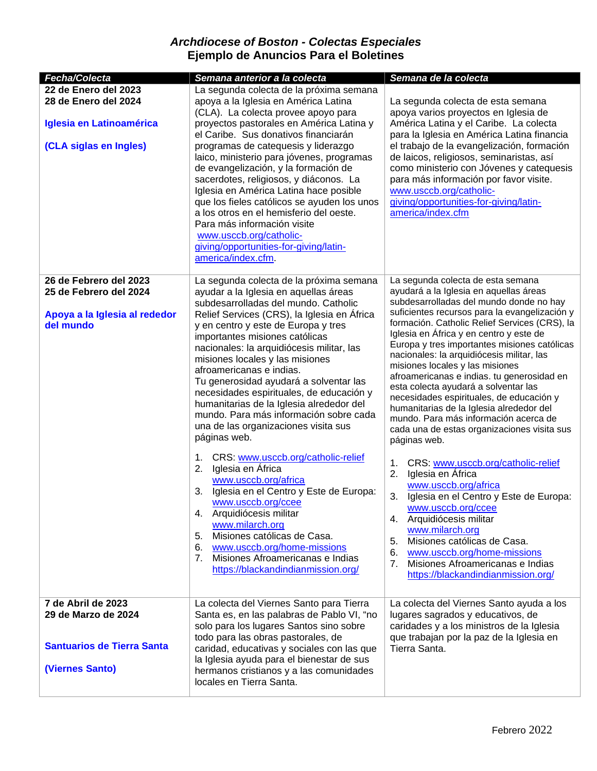## *Archdiocese of Boston - Colectas Especiales* **Ejemplo de Anuncios Para el Boletines**

| Fecha/Colecta                                                                                      | Semana anterior a la colecta                                                                                                                                                                                                                                                                                                                                                                                                                                                                                                                                                                                                                                                                                                                                                                                                                                                                                                                                                               | Semana de la colecta                                                                                                                                                                                                                                                                                                                                                                                                                                                                                                                                                                                                                                                                                                                                                                                                                                                                                                                                                                                                                                                       |
|----------------------------------------------------------------------------------------------------|--------------------------------------------------------------------------------------------------------------------------------------------------------------------------------------------------------------------------------------------------------------------------------------------------------------------------------------------------------------------------------------------------------------------------------------------------------------------------------------------------------------------------------------------------------------------------------------------------------------------------------------------------------------------------------------------------------------------------------------------------------------------------------------------------------------------------------------------------------------------------------------------------------------------------------------------------------------------------------------------|----------------------------------------------------------------------------------------------------------------------------------------------------------------------------------------------------------------------------------------------------------------------------------------------------------------------------------------------------------------------------------------------------------------------------------------------------------------------------------------------------------------------------------------------------------------------------------------------------------------------------------------------------------------------------------------------------------------------------------------------------------------------------------------------------------------------------------------------------------------------------------------------------------------------------------------------------------------------------------------------------------------------------------------------------------------------------|
| 22 de Enero del 2023<br>28 de Enero del 2024<br>Iglesia en Latinoamérica<br>(CLA siglas en Ingles) | La segunda colecta de la próxima semana<br>apoya a la Iglesia en América Latina<br>(CLA). La colecta provee apoyo para<br>proyectos pastorales en América Latina y<br>el Caribe. Sus donativos financiarán<br>programas de catequesis y liderazgo<br>laico, ministerio para jóvenes, programas<br>de evangelización, y la formación de<br>sacerdotes, religiosos, y diáconos. La<br>Iglesia en América Latina hace posible<br>que los fieles católicos se ayuden los unos<br>a los otros en el hemisferio del oeste.<br>Para más información visite<br>www.usccb.org/catholic-<br>giving/opportunities-for-giving/latin-<br>america/index.cfm.                                                                                                                                                                                                                                                                                                                                             | La segunda colecta de esta semana<br>apoya varios proyectos en Iglesia de<br>América Latina y el Caribe. La colecta<br>para la Iglesia en América Latina financia<br>el trabajo de la evangelización, formación<br>de laicos, religiosos, seminaristas, así<br>como ministerio con Jóvenes y catequesis<br>para más información por favor visite.<br>www.usccb.org/catholic-<br>giving/opportunities-for-giving/latin-<br>america/index.cfm                                                                                                                                                                                                                                                                                                                                                                                                                                                                                                                                                                                                                                |
| 26 de Febrero del 2023<br>25 de Febrero del 2024<br>Apoya a la Iglesia al rededor<br>del mundo     | La segunda colecta de la próxima semana<br>ayudar a la Iglesia en aquellas áreas<br>subdesarrolladas del mundo. Catholic<br>Relief Services (CRS), la Iglesia en África<br>y en centro y este de Europa y tres<br>importantes misiones católicas<br>nacionales: la arquidiócesis militar, las<br>misiones locales y las misiones<br>afroamericanas e indias.<br>Tu generosidad ayudará a solventar las<br>necesidades espirituales, de educación y<br>humanitarias de la Iglesia alrededor del<br>mundo. Para más información sobre cada<br>una de las organizaciones visita sus<br>páginas web.<br>CRS: www.usccb.org/catholic-relief<br>1.<br>Iglesia en África<br>2.<br>www.usccb.org/africa<br>Iglesia en el Centro y Este de Europa:<br>3.<br>www.usccb.org/ccee<br>4. Arquidiócesis militar<br>www.milarch.org<br>Misiones católicas de Casa.<br>5.<br>www.usccb.org/home-missions<br>6.<br>Misiones Afroamericanas e Indias<br>7 <sub>1</sub><br>https://blackandindianmission.org/ | La segunda colecta de esta semana<br>ayudará a la Iglesia en aquellas áreas<br>subdesarrolladas del mundo donde no hay<br>suficientes recursos para la evangelización y<br>formación. Catholic Relief Services (CRS), la<br>Iglesia en África y en centro y este de<br>Europa y tres importantes misiones católicas<br>nacionales: la arquidiócesis militar, las<br>misiones locales y las misiones<br>afroamericanas e indias. tu generosidad en<br>esta colecta ayudará a solventar las<br>necesidades espirituales, de educación y<br>humanitarias de la Iglesia alrededor del<br>mundo. Para más información acerca de<br>cada una de estas organizaciones visita sus<br>páginas web.<br>CRS: www.usccb.org/catholic-relief<br>1.<br>Iglesia en África<br>2.<br>www.usccb.org/africa<br>3.<br>Iglesia en el Centro y Este de Europa:<br>www.usccb.org/ccee<br>Arquidiócesis militar<br>4.<br>www.milarch.org<br>Misiones católicas de Casa.<br>5.<br>www.usccb.org/home-missions<br>6.<br>Misiones Afroamericanas e Indias<br>7.<br>https://blackandindianmission.org/ |
| 7 de Abril de 2023<br>29 de Marzo de 2024<br><b>Santuarios de Tierra Santa</b><br>(Viernes Santo)  | La colecta del Viernes Santo para Tierra<br>Santa es, en las palabras de Pablo VI, "no<br>solo para los lugares Santos sino sobre<br>todo para las obras pastorales, de<br>caridad, educativas y sociales con las que<br>la Iglesia ayuda para el bienestar de sus<br>hermanos cristianos y a las comunidades<br>locales en Tierra Santa.                                                                                                                                                                                                                                                                                                                                                                                                                                                                                                                                                                                                                                                  | La colecta del Viernes Santo ayuda a los<br>lugares sagrados y educativos, de<br>caridades y a los ministros de la Iglesia<br>que trabajan por la paz de la Iglesia en<br>Tierra Santa.                                                                                                                                                                                                                                                                                                                                                                                                                                                                                                                                                                                                                                                                                                                                                                                                                                                                                    |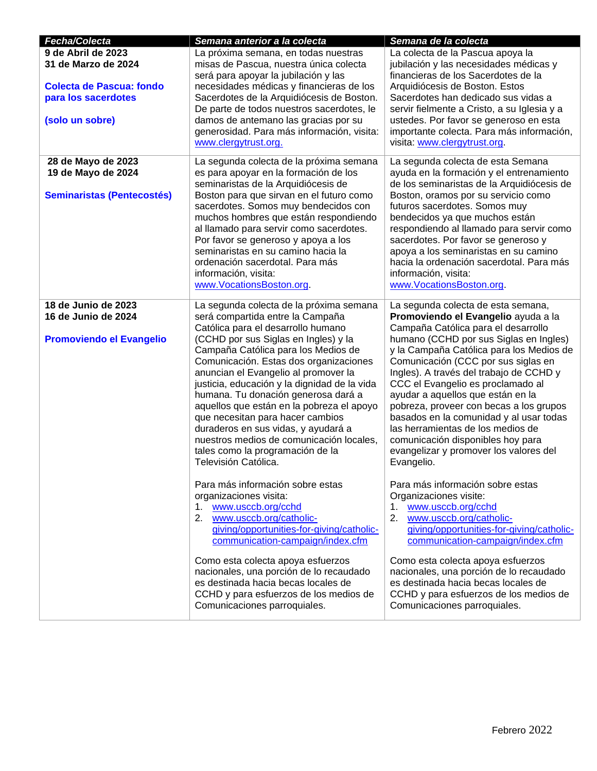| Fecha/Colecta                     | Semana anterior a la colecta                                              | Semana de la colecta                                                         |
|-----------------------------------|---------------------------------------------------------------------------|------------------------------------------------------------------------------|
| 9 de Abril de 2023                | La próxima semana, en todas nuestras                                      | La colecta de la Pascua apoya la                                             |
| 31 de Marzo de 2024               | misas de Pascua, nuestra única colecta                                    | jubilación y las necesidades médicas y                                       |
|                                   | será para apoyar la jubilación y las                                      | financieras de los Sacerdotes de la                                          |
| <b>Colecta de Pascua: fondo</b>   | necesidades médicas y financieras de los                                  | Arquidiócesis de Boston. Estos                                               |
| para los sacerdotes               | Sacerdotes de la Arquidiócesis de Boston.                                 | Sacerdotes han dedicado sus vidas a                                          |
|                                   | De parte de todos nuestros sacerdotes, le                                 | servir fielmente a Cristo, a su Iglesia y a                                  |
| (solo un sobre)                   | damos de antemano las gracias por su                                      | ustedes. Por favor se generoso en esta                                       |
|                                   | generosidad. Para más información, visita:                                | importante colecta. Para más información,                                    |
|                                   | www.clergytrust.org.                                                      | visita: www.clergytrust.org.                                                 |
|                                   |                                                                           |                                                                              |
| 28 de Mayo de 2023                | La segunda colecta de la próxima semana                                   | La segunda colecta de esta Semana                                            |
| 19 de Mayo de 2024                | es para apoyar en la formación de los                                     | ayuda en la formación y el entrenamiento                                     |
|                                   | seminaristas de la Arquidiócesis de                                       | de los seminaristas de la Arquidiócesis de                                   |
| <b>Seminaristas (Pentecostés)</b> | Boston para que sirvan en el futuro como                                  | Boston, oramos por su servicio como                                          |
|                                   | sacerdotes. Somos muy bendecidos con                                      | futuros sacerdotes. Somos muy                                                |
|                                   | muchos hombres que están respondiendo                                     | bendecidos ya que muchos están                                               |
|                                   | al llamado para servir como sacerdotes.                                   | respondiendo al llamado para servir como                                     |
|                                   | Por favor se generoso y apoya a los<br>seminaristas en su camino hacia la | sacerdotes. Por favor se generoso y<br>apoya a los seminaristas en su camino |
|                                   | ordenación sacerdotal. Para más                                           | hacia la ordenación sacerdotal. Para más                                     |
|                                   | información, visita:                                                      | información, visita:                                                         |
|                                   | www.VocationsBoston.org.                                                  | www.VocationsBoston.org.                                                     |
|                                   |                                                                           |                                                                              |
| 18 de Junio de 2023               | La segunda colecta de la próxima semana                                   | La segunda colecta de esta semana,                                           |
| 16 de Junio de 2024               | será compartida entre la Campaña                                          | Promoviendo el Evangelio ayuda a la                                          |
|                                   | Católica para el desarrollo humano                                        | Campaña Católica para el desarrollo                                          |
| <b>Promoviendo el Evangelio</b>   | (CCHD por sus Siglas en Ingles) y la                                      | humano (CCHD por sus Siglas en Ingles)                                       |
|                                   | Campaña Católica para los Medios de                                       | y la Campaña Católica para los Medios de                                     |
|                                   | Comunicación. Estas dos organizaciones                                    | Comunicación (CCC por sus siglas en                                          |
|                                   | anuncian el Evangelio al promover la                                      | Ingles). A través del trabajo de CCHD y                                      |
|                                   | justicia, educación y la dignidad de la vida                              | CCC el Evangelio es proclamado al                                            |
|                                   | humana. Tu donación generosa dará a                                       | ayudar a aquellos que están en la                                            |
|                                   | aquellos que están en la pobreza el apoyo                                 | pobreza, proveer con becas a los grupos                                      |
|                                   | que necesitan para hacer cambios                                          | basados en la comunidad y al usar todas                                      |
|                                   | duraderos en sus vidas, y ayudará a                                       | las herramientas de los medios de                                            |
|                                   | nuestros medios de comunicación locales,                                  | comunicación disponibles hoy para                                            |
|                                   | tales como la programación de la                                          | evangelizar y promover los valores del                                       |
|                                   | Televisión Católica.                                                      | Evangelio.                                                                   |
|                                   | Para más información sobre estas                                          | Para más información sobre estas                                             |
|                                   | organizaciones visita:                                                    | Organizaciones visite:                                                       |
|                                   | www.usccb.org/cchd<br>1.                                                  | www.usccb.org/cchd<br>1.                                                     |
|                                   | 2.<br>www.usccb.org/catholic-                                             | 2.<br>www.usccb.org/catholic-                                                |
|                                   | giving/opportunities-for-giving/catholic-                                 | giving/opportunities-for-giving/catholic-                                    |
|                                   | communication-campaign/index.cfm                                          | communication-campaign/index.cfm                                             |
|                                   |                                                                           |                                                                              |
|                                   | Como esta colecta apoya esfuerzos                                         | Como esta colecta apoya esfuerzos                                            |
|                                   | nacionales, una porción de lo recaudado                                   | nacionales, una porción de lo recaudado                                      |
|                                   | es destinada hacia becas locales de                                       | es destinada hacia becas locales de                                          |
|                                   | CCHD y para esfuerzos de los medios de                                    | CCHD y para esfuerzos de los medios de                                       |
|                                   | Comunicaciones parroquiales.                                              | Comunicaciones parroquiales.                                                 |
|                                   |                                                                           |                                                                              |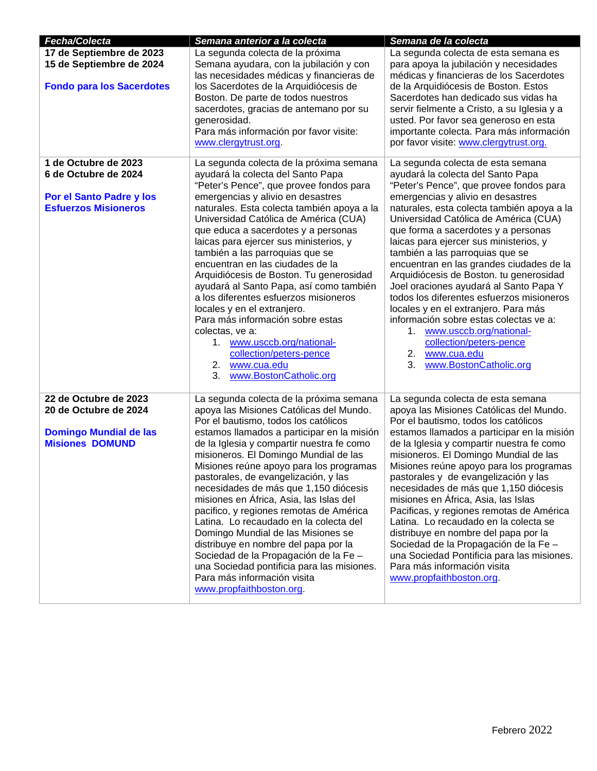| Fecha/Colecta                                                                                                  | Semana anterior a la colecta                                                                                                                                                                                                                                                                                                                                                                                                                                                                                                                                                                                                                                                                                                                               | Semana de la colecta                                                                                                                                                                                                                                                                                                                                                                                                                                                                                                                                                                                                                                                                                                                            |
|----------------------------------------------------------------------------------------------------------------|------------------------------------------------------------------------------------------------------------------------------------------------------------------------------------------------------------------------------------------------------------------------------------------------------------------------------------------------------------------------------------------------------------------------------------------------------------------------------------------------------------------------------------------------------------------------------------------------------------------------------------------------------------------------------------------------------------------------------------------------------------|-------------------------------------------------------------------------------------------------------------------------------------------------------------------------------------------------------------------------------------------------------------------------------------------------------------------------------------------------------------------------------------------------------------------------------------------------------------------------------------------------------------------------------------------------------------------------------------------------------------------------------------------------------------------------------------------------------------------------------------------------|
| 17 de Septiembre de 2023<br>15 de Septiembre de 2024<br><b>Fondo para los Sacerdotes</b>                       | La segunda colecta de la próxima<br>Semana ayudara, con la jubilación y con<br>las necesidades médicas y financieras de<br>los Sacerdotes de la Arquidiócesis de<br>Boston. De parte de todos nuestros<br>sacerdotes, gracias de antemano por su<br>generosidad.<br>Para más información por favor visite:<br>www.clergytrust.org.                                                                                                                                                                                                                                                                                                                                                                                                                         | La segunda colecta de esta semana es<br>para apoya la jubilación y necesidades<br>médicas y financieras de los Sacerdotes<br>de la Arquidiócesis de Boston. Estos<br>Sacerdotes han dedicado sus vidas ha<br>servir fielmente a Cristo, a su Iglesia y a<br>usted. Por favor sea generoso en esta<br>importante colecta. Para más información<br>por favor visite: www.clergytrust.org.                                                                                                                                                                                                                                                                                                                                                         |
| 1 de Octubre de 2023<br>6 de Octubre de 2024<br><b>Por el Santo Padre y los</b><br><b>Esfuerzos Misioneros</b> | La segunda colecta de la próxima semana<br>ayudará la colecta del Santo Papa<br>"Peter's Pence", que provee fondos para<br>emergencias y alivio en desastres<br>naturales. Esta colecta también apoya a la<br>Universidad Católica de América (CUA)<br>que educa a sacerdotes y a personas<br>laicas para ejercer sus ministerios, y<br>también a las parroquias que se<br>encuentran en las ciudades de la<br>Arquidiócesis de Boston. Tu generosidad<br>ayudará al Santo Papa, así como también<br>a los diferentes esfuerzos misioneros<br>locales y en el extranjero.<br>Para más información sobre estas<br>colectas, ve a:<br>1. www.usccb.org/national-<br>collection/peters-pence<br>2. www.cua.edu<br>3.<br>www.BostonCatholic.org                | La segunda colecta de esta semana<br>ayudará la colecta del Santo Papa<br>"Peter's Pence", que provee fondos para<br>emergencias y alivio en desastres<br>naturales, esta colecta también apoya a la<br>Universidad Católica de América (CUA)<br>que forma a sacerdotes y a personas<br>laicas para ejercer sus ministerios, y<br>también a las parroquias que se<br>encuentran en las grandes ciudades de la<br>Arquidiócesis de Boston. tu generosidad<br>Joel oraciones ayudará al Santo Papa Y<br>todos los diferentes esfuerzos misioneros<br>locales y en el extranjero. Para más<br>información sobre estas colectas ve a:<br>1.<br>www.usccb.org/national-<br>collection/peters-pence<br>2. www.cua.edu<br>3.<br>www.BostonCatholic.org |
| 22 de Octubre de 2023<br>20 de Octubre de 2024<br><b>Domingo Mundial de las</b><br><b>Misiones DOMUND</b>      | La segunda colecta de la próxima semana<br>apoya las Misiones Católicas del Mundo.<br>Por el bautismo, todos los católicos<br>estamos llamados a participar en la misión<br>de la Iglesia y compartir nuestra fe como<br>misioneros. El Domingo Mundial de las<br>Misiones reúne apoyo para los programas<br>pastorales, de evangelización, y las<br>necesidades de más que 1,150 diócesis<br>misiones en África, Asia, las Islas del<br>pacifico, y regiones remotas de América<br>Latina. Lo recaudado en la colecta del<br>Domingo Mundial de las Misiones se<br>distribuye en nombre del papa por la<br>Sociedad de la Propagación de la Fe -<br>una Sociedad pontificia para las misiones.<br>Para más información visita<br>www.propfaithboston.org. | La segunda colecta de esta semana<br>apoya las Misiones Católicas del Mundo.<br>Por el bautismo, todos los católicos<br>estamos llamados a participar en la misión<br>de la Iglesia y compartir nuestra fe como<br>misioneros. El Domingo Mundial de las<br>Misiones reúne apoyo para los programas<br>pastorales y de evangelización y las<br>necesidades de más que 1,150 diócesis<br>misiones en África, Asia, las Islas<br>Pacificas, y regiones remotas de América<br>Latina. Lo recaudado en la colecta se<br>distribuye en nombre del papa por la<br>Sociedad de la Propagación de la Fe-<br>una Sociedad Pontificia para las misiones.<br>Para más información visita<br>www.propfaithboston.org                                        |